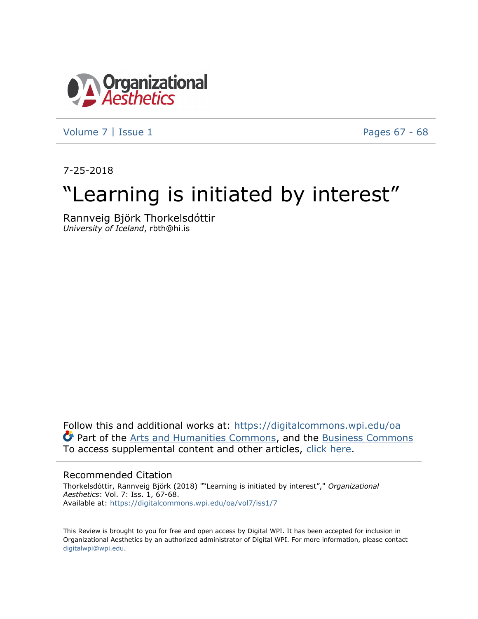

[Volume 7](https://digitalcommons.wpi.edu/oa/vol7?utm_source=digitalcommons.wpi.edu%2Foa%2Fvol7%2Fiss1%2F7&utm_medium=PDF&utm_campaign=PDFCoverPages) | [Issue 1](https://digitalcommons.wpi.edu/oa/vol7/iss1?utm_source=digitalcommons.wpi.edu%2Foa%2Fvol7%2Fiss1%2F7&utm_medium=PDF&utm_campaign=PDFCoverPages) [Pages 67 - 68](https://digitalcommons.wpi.edu/oa/vol7/iss1/7?utm_source=digitalcommons.wpi.edu%2Foa%2Fvol7%2Fiss1%2F7&utm_medium=PDF&utm_campaign=PDFCoverPages)

7-25-2018

# "Learning is initiated by interest"

Rannveig Björk Thorkelsdóttir *University of Iceland*, rbth@hi.is

Follow this and additional works at: [https://digitalcommons.wpi.edu/oa](https://digitalcommons.wpi.edu/oa?utm_source=digitalcommons.wpi.edu%2Foa%2Fvol7%2Fiss1%2F7&utm_medium=PDF&utm_campaign=PDFCoverPages) Part of the [Arts and Humanities Commons,](http://network.bepress.com/hgg/discipline/438?utm_source=digitalcommons.wpi.edu%2Foa%2Fvol7%2Fiss1%2F7&utm_medium=PDF&utm_campaign=PDFCoverPages) and the [Business Commons](http://network.bepress.com/hgg/discipline/622?utm_source=digitalcommons.wpi.edu%2Foa%2Fvol7%2Fiss1%2F7&utm_medium=PDF&utm_campaign=PDFCoverPages) To access supplemental content and other articles, [click here](https://digitalcommons.wpi.edu/oa/vol7/iss1/7).

#### Recommended Citation

Thorkelsdóttir, Rannveig Björk (2018) ""Learning is initiated by interest"," *Organizational Aesthetics*: Vol. 7: Iss. 1, 67-68. Available at: [https://digitalcommons.wpi.edu/oa/vol7/iss1/7](https://digitalcommons.wpi.edu/oa/vol7/iss1/7?utm_source=digitalcommons.wpi.edu%2Foa%2Fvol7%2Fiss1%2F7&utm_medium=PDF&utm_campaign=PDFCoverPages)

This Review is brought to you for free and open access by Digital WPI. It has been accepted for inclusion in Organizational Aesthetics by an authorized administrator of Digital WPI. For more information, please contact [digitalwpi@wpi.edu.](mailto:digitalwpi@wpi.edu)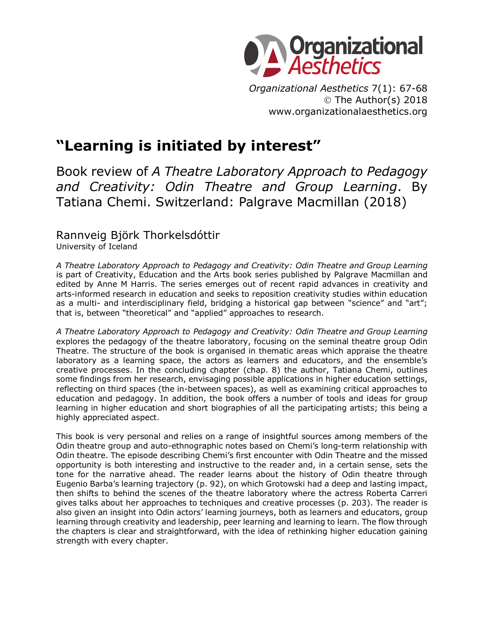

*Organizational Aesthetics* 7(1): 67-68 © The Author(s) 2018 www.organizationalaesthetics.org

### **"Learning is initiated by interest"**

Book review of *A Theatre Laboratory Approach to Pedagogy and Creativity: Odin Theatre and Group Learning*. By Tatiana Chemi. Switzerland: Palgrave Macmillan (2018)

## Rannveig Björk Thorkelsdóttir

University of Iceland

*A Theatre Laboratory Approach to Pedagogy and Creativity: Odin Theatre and Group Learning* is part of Creativity, Education and the Arts book series published by Palgrave Macmillan and edited by Anne M Harris. The series emerges out of recent rapid advances in creativity and arts-informed research in education and seeks to reposition creativity studies within education as a multi- and interdisciplinary field, bridging a historical gap between "science" and "art"; that is, between "theoretical" and "applied" approaches to research.

*A Theatre Laboratory Approach to Pedagogy and Creativity: Odin Theatre and Group Learning* explores the pedagogy of the theatre laboratory, focusing on the seminal theatre group Odin Theatre. The structure of the book is organised in thematic areas which appraise the theatre laboratory as a learning space, the actors as learners and educators, and the ensemble's creative processes. In the concluding chapter (chap. 8) the author, Tatiana Chemi, outlines some findings from her research, envisaging possible applications in higher education settings, reflecting on third spaces (the in-between spaces), as well as examining critical approaches to education and pedagogy. In addition, the book offers a number of tools and ideas for group learning in higher education and short biographies of all the participating artists; this being a highly appreciated aspect.

This book is very personal and relies on a range of insightful sources among members of the Odin theatre group and auto-ethnographic notes based on Chemi's long-term relationship with Odin theatre. The episode describing Chemi's first encounter with Odin Theatre and the missed opportunity is both interesting and instructive to the reader and, in a certain sense, sets the tone for the narrative ahead. The reader learns about the history of Odin theatre through Eugenio Barba's learning trajectory (p. 92), on which Grotowski had a deep and lasting impact, then shifts to behind the scenes of the theatre laboratory where the actress Roberta Carreri gives talks about her approaches to techniques and creative processes (p. 203). The reader is also given an insight into Odin actors' learning journeys, both as learners and educators, group learning through creativity and leadership, peer learning and learning to learn. The flow through the chapters is clear and straightforward, with the idea of rethinking higher education gaining strength with every chapter.